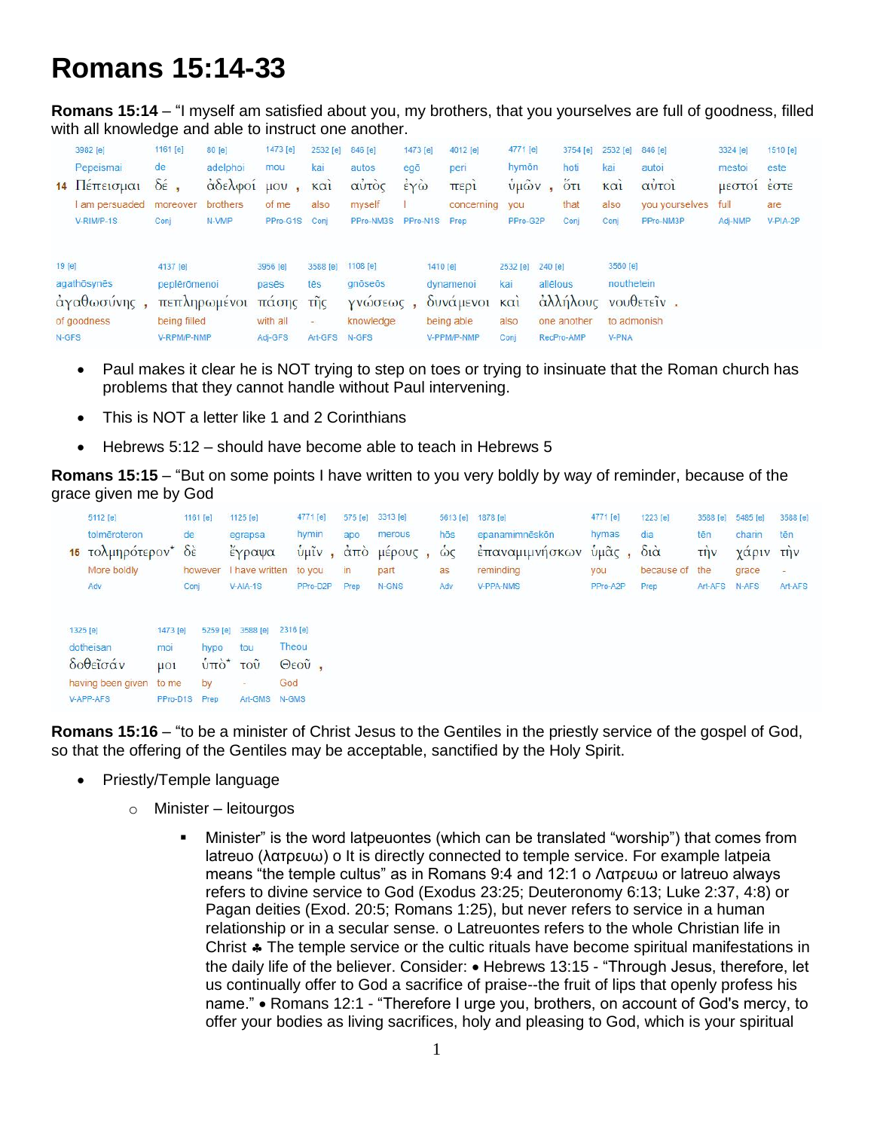## **Romans 15:14-33**

**Romans 15:14** – "I myself am satisfied about you, my brothers, that you yourselves are full of goodness, filled with all knowledge and able to instruct one another.

|                 | 3982 [e]<br>Pepeismai<br>14 Πέπεισμαι     | 1161 [e]<br>de<br>$\delta \acute{\epsilon}$ ,           | 80 [e]<br>adelphoi<br>άδελφοί μου, | 1473 [e]<br>mou                          | 2532 [e]<br>kai<br>$K\alpha$                | 846 [e]<br>autos<br>αὐτὸς                             | 1473 [e]<br>egō<br>έγὼ |          | 4012 [e]<br>peri<br>περι                                | 4771 [e]<br>hymon<br>$\sqrt{u\omega}v$ , |                     | 3754 [e]<br>hoti<br>$5\tau$ | 2532 [e]<br>kai<br>$K\alpha$                          | 846 [e]<br>autoi<br><b>QUTO1</b> | 3324 [e]<br>mestoi<br>μεστοι εστε | 1510 [e]<br>este |
|-----------------|-------------------------------------------|---------------------------------------------------------|------------------------------------|------------------------------------------|---------------------------------------------|-------------------------------------------------------|------------------------|----------|---------------------------------------------------------|------------------------------------------|---------------------|-----------------------------|-------------------------------------------------------|----------------------------------|-----------------------------------|------------------|
|                 | am persuaded moreover<br>V-RIM/P-1S       | Conj                                                    | brothers<br>N-VMP                  | of me<br>PPro-G1S Conj                   | also                                        | myself<br>PPro-NM3S                                   |                        |          | concerning<br>PPro-N1S Prep                             | you<br>PPro-G2P                          |                     | that<br>Conj                | also<br>Conj                                          | you yourselves<br>PPro-NM3P      | full<br>Adj-NMP                   | are<br>V-PIA-2P  |
| 19 [e]<br>N-GFS | agathōsynēs<br>άγαθωσύνης,<br>of goodness | 4137 [e]<br>peplērōmenoi<br>being filled<br>V-RPM/P-NMP | πεπληρωμένοι πάσης της             | 3956 [e]<br>pasēs<br>with all<br>Adj-GFS | 3588 [e]<br>tēs<br>$\frac{1}{2}$<br>Art-GFS | 1108 [e]<br>qnōseōs<br>γνώσεως,<br>knowledge<br>N-GFS |                        | 1410 [e] | dynamenoi<br>δυνάμενοι και<br>being able<br>V-PPM/P-NMP | 2532 [e]<br>kai<br>also<br>Conj          | 240 [e]<br>allēlous | one another<br>RecPro-AMP   | 3560 [e]<br>nouthetein<br>to admonish<br><b>V-PNA</b> | άλλήλους νουθετεΐν.              |                                   |                  |

- Paul makes it clear he is NOT trying to step on toes or trying to insinuate that the Roman church has problems that they cannot handle without Paul intervening.
- This is NOT a letter like 1 and 2 Corinthians
- Hebrews 5:12 should have become able to teach in Hebrews 5

**Romans 15:15** – "But on some points I have written to you very boldly by way of reminder, because of the grace given me by God

| 5112 [e]                |                         | 1161 [e]                | 1125 [e]                      | 4771 [e]                                                                                                                                                                                                                                                                                                            | 575 [e] | 3313 [e]     | 5613 [e]   | 1878 [e]       | 4771 [e]                                   | 1223 [e]               | 3588 [e]    | 5485 [e]  | 3588 [e] |
|-------------------------|-------------------------|-------------------------|-------------------------------|---------------------------------------------------------------------------------------------------------------------------------------------------------------------------------------------------------------------------------------------------------------------------------------------------------------------|---------|--------------|------------|----------------|--------------------------------------------|------------------------|-------------|-----------|----------|
| tolmēroteron            | de                      |                         | egrapsa                       | hymin                                                                                                                                                                                                                                                                                                               | apo     | merous       | hōs        | epanamimnēskōn | hymas                                      | dia                    | tēn         | charin    | tēn      |
| τολμηρότερον*<br>15     | $\delta \dot{\epsilon}$ |                         | εγραψα                        | $\frac{1}{2}$ $\frac{1}{2}$ $\frac{1}{2}$ $\frac{1}{2}$ $\frac{1}{2}$ $\frac{1}{2}$ $\frac{1}{2}$ $\frac{1}{2}$ $\frac{1}{2}$ $\frac{1}{2}$ $\frac{1}{2}$ $\frac{1}{2}$ $\frac{1}{2}$ $\frac{1}{2}$ $\frac{1}{2}$ $\frac{1}{2}$ $\frac{1}{2}$ $\frac{1}{2}$ $\frac{1}{2}$ $\frac{1}{2}$ $\frac{1}{2}$ $\frac{1}{2}$ |         | $\mu$ spouc, | $\omega$ c | έπαναμιμνησκων | $\tilde{\mathbf{u}}$ μ $\tilde{\alpha}$ ς, | $\delta i\dot{\alpha}$ | <b>TIJV</b> | χαριν την |          |
| More boldly             |                         | have written<br>however |                               | to you                                                                                                                                                                                                                                                                                                              | in      | part         | as         | reminding      | you                                        | because of the         |             | grace     | Ξ.       |
| Adv                     | Conj                    |                         | $V-AIA-1S$                    | PPro-D2P                                                                                                                                                                                                                                                                                                            | Prep    | N-GNS        | Adv        | V-PPA-NMS      | PPro-A2P                                   | Prep                   | Art-AFS     | N-AFS     | Art-AFS  |
|                         |                         |                         |                               |                                                                                                                                                                                                                                                                                                                     |         |              |            |                |                                            |                        |             |           |          |
| 1325 [e]                | 1473 [e]                | 5259 [e]                | 3588 [e]                      | 2316 [e]                                                                                                                                                                                                                                                                                                            |         |              |            |                |                                            |                        |             |           |          |
| dotheisan               | moi                     | hypo                    | tou                           | Theou                                                                                                                                                                                                                                                                                                               |         |              |            |                |                                            |                        |             |           |          |
| δοθεΐσάν                | $\mu$ Ol                |                         | $\dot{u}$ πο <sup>*</sup> του | Θεοῦ,                                                                                                                                                                                                                                                                                                               |         |              |            |                |                                            |                        |             |           |          |
| having been given to me |                         | by                      | $\sim$                        | God                                                                                                                                                                                                                                                                                                                 |         |              |            |                |                                            |                        |             |           |          |
| V-APP-AFS               | PPro-D1S                | Prep                    | Art-GMS N-GMS                 |                                                                                                                                                                                                                                                                                                                     |         |              |            |                |                                            |                        |             |           |          |

**Romans 15:16** – "to be a minister of Christ Jesus to the Gentiles in the priestly service of the gospel of God, so that the offering of the Gentiles may be acceptable, sanctified by the Holy Spirit.

- Priestly/Temple language
	- o Minister leitourgos
		- Minister" is the word latpeuontes (which can be translated "worship") that comes from latreuo (λατρευω) o It is directly connected to temple service. For example latpeia means "the temple cultus" as in Romans 9:4 and 12:1 o Λατρευω or latreuo always refers to divine service to God (Exodus 23:25; Deuteronomy 6:13; Luke 2:37, 4:8) or Pagan deities (Exod. 20:5; Romans 1:25), but never refers to service in a human relationship or in a secular sense. o Latreuontes refers to the whole Christian life in Christ  $\clubsuit$  The temple service or the cultic rituals have become spiritual manifestations in the daily life of the believer. Consider: • Hebrews 13:15 - "Through Jesus, therefore, let us continually offer to God a sacrifice of praise--the fruit of lips that openly profess his name." • Romans 12:1 - "Therefore I urge you, brothers, on account of God's mercy, to offer your bodies as living sacrifices, holy and pleasing to God, which is your spiritual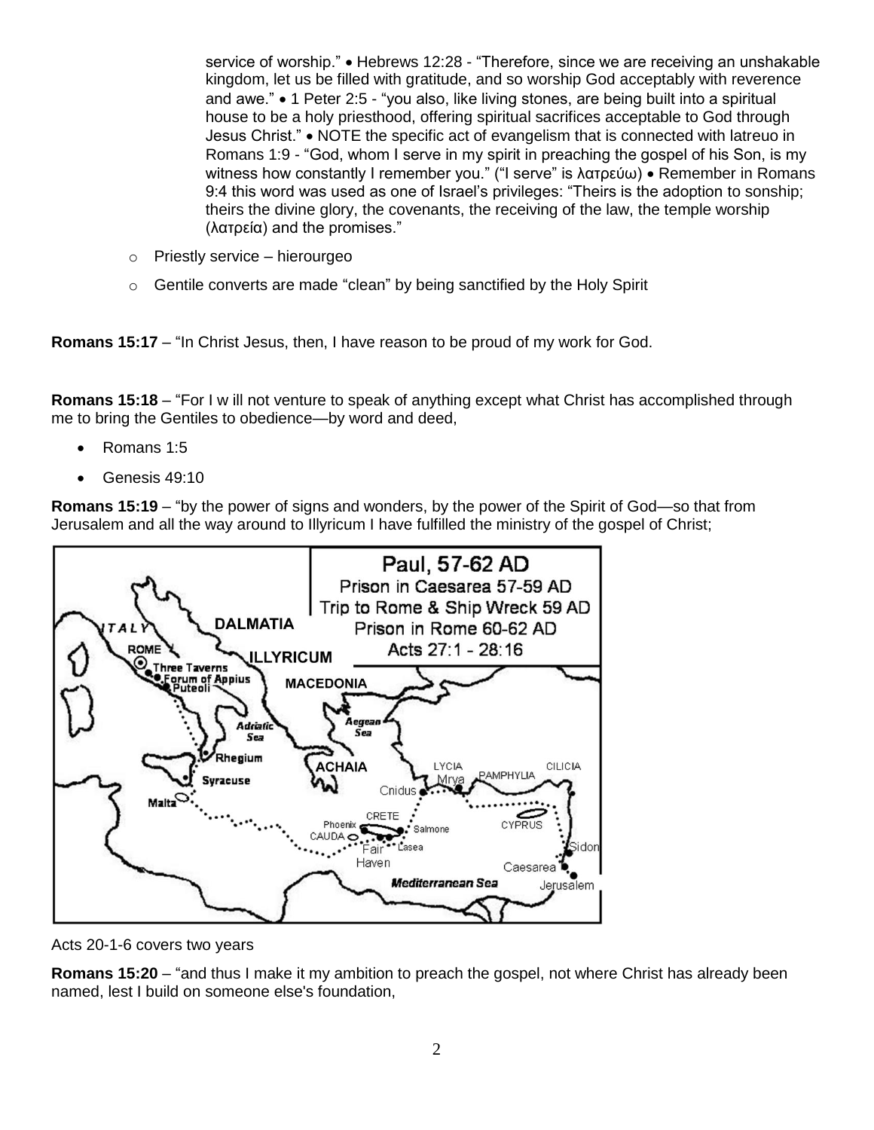service of worship." • Hebrews 12:28 - "Therefore, since we are receiving an unshakable kingdom, let us be filled with gratitude, and so worship God acceptably with reverence and awe." • 1 Peter 2:5 - "you also, like living stones, are being built into a spiritual house to be a holy priesthood, offering spiritual sacrifices acceptable to God through Jesus Christ." NOTE the specific act of evangelism that is connected with latreuo in Romans 1:9 - "God, whom I serve in my spirit in preaching the gospel of his Son, is my witness how constantly I remember you." ("I serve" is λατρεύω) • Remember in Romans 9:4 this word was used as one of Israel's privileges: "Theirs is the adoption to sonship; theirs the divine glory, the covenants, the receiving of the law, the temple worship (λατρεία) and the promises."

- o Priestly service hierourgeo
- o Gentile converts are made "clean" by being sanctified by the Holy Spirit

**Romans 15:17** – "In Christ Jesus, then, I have reason to be proud of my work for God.

**Romans 15:18** – "For I w ill not venture to speak of anything except what Christ has accomplished through me to bring the Gentiles to obedience—by word and deed,

- Romans 1:5
- Genesis 49:10

**Romans 15:19** – "by the power of signs and wonders, by the power of the Spirit of God—so that from Jerusalem and all the way around to Illyricum I have fulfilled the ministry of the gospel of Christ;



Acts 20-1-6 covers two years

**Romans 15:20** – "and thus I make it my ambition to preach the gospel, not where Christ has already been named, lest I build on someone else's foundation,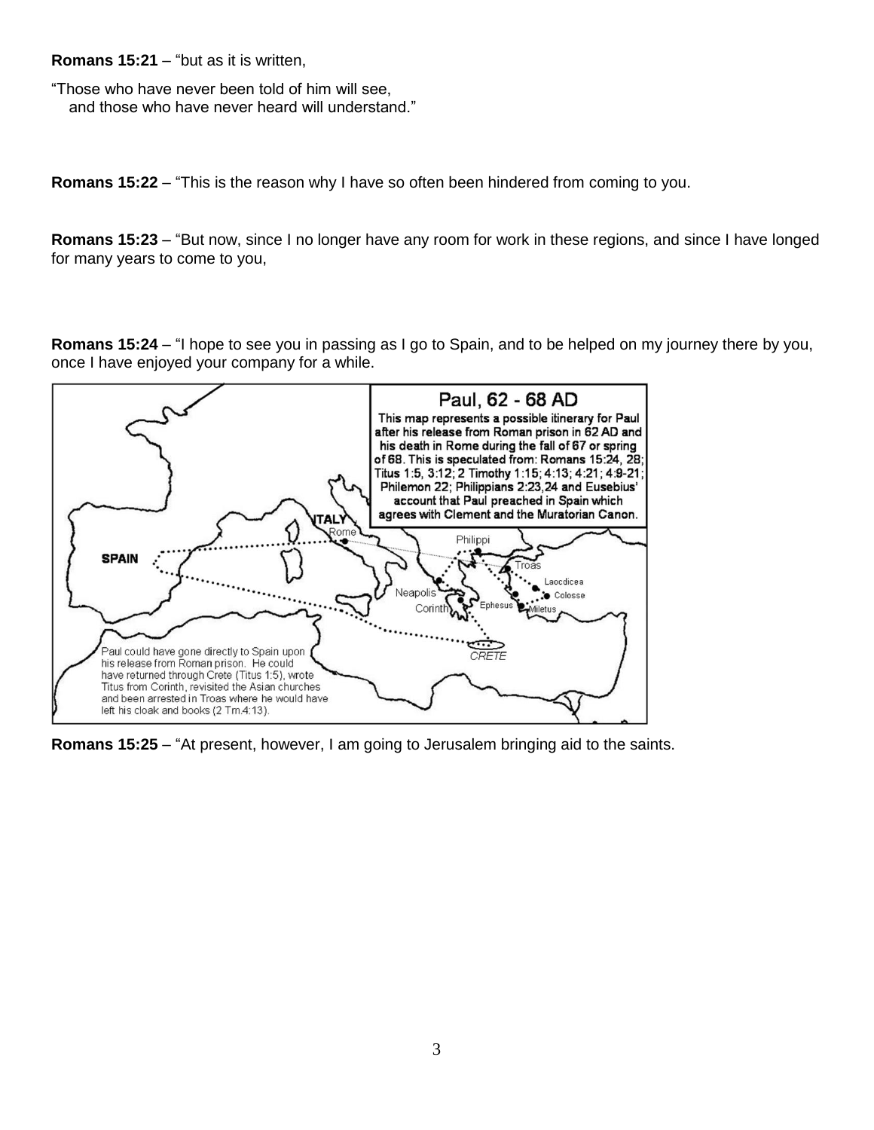**Romans 15:21** – "but as it is written,

"Those who have never been told of him will see, and those who have never heard will understand."

**Romans 15:22** – "This is the reason why I have so often been hindered from coming to you.

**Romans 15:23** – "But now, since I no longer have any room for work in these regions, and since I have longed for many years to come to you,

**Romans 15:24** – "I hope to see you in passing as I go to Spain, and to be helped on my journey there by you, once I have enjoyed your company for a while.



**Romans 15:25** – "At present, however, I am going to Jerusalem bringing aid to the saints.